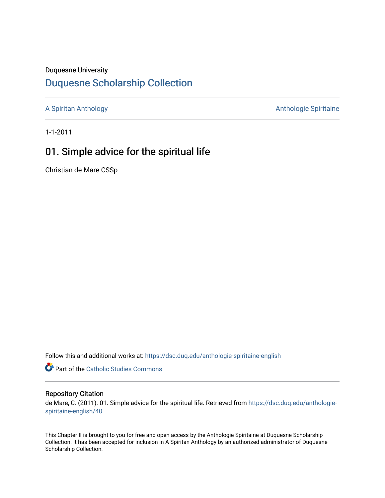### Duquesne University

## [Duquesne Scholarship Collection](https://dsc.duq.edu/)

[A Spiritan Anthology](https://dsc.duq.edu/anthologie-spiritaine-english) **Anthology** Anthologie Spiritaine

1-1-2011

# 01. Simple advice for the spiritual life

Christian de Mare CSSp

Follow this and additional works at: [https://dsc.duq.edu/anthologie-spiritaine-english](https://dsc.duq.edu/anthologie-spiritaine-english?utm_source=dsc.duq.edu%2Fanthologie-spiritaine-english%2F40&utm_medium=PDF&utm_campaign=PDFCoverPages)

**Part of the [Catholic Studies Commons](http://network.bepress.com/hgg/discipline/1294?utm_source=dsc.duq.edu%2Fanthologie-spiritaine-english%2F40&utm_medium=PDF&utm_campaign=PDFCoverPages)** 

#### Repository Citation

de Mare, C. (2011). 01. Simple advice for the spiritual life. Retrieved from [https://dsc.duq.edu/anthologie](https://dsc.duq.edu/anthologie-spiritaine-english/40?utm_source=dsc.duq.edu%2Fanthologie-spiritaine-english%2F40&utm_medium=PDF&utm_campaign=PDFCoverPages)[spiritaine-english/40](https://dsc.duq.edu/anthologie-spiritaine-english/40?utm_source=dsc.duq.edu%2Fanthologie-spiritaine-english%2F40&utm_medium=PDF&utm_campaign=PDFCoverPages) 

This Chapter II is brought to you for free and open access by the Anthologie Spiritaine at Duquesne Scholarship Collection. It has been accepted for inclusion in A Spiritan Anthology by an authorized administrator of Duquesne Scholarship Collection.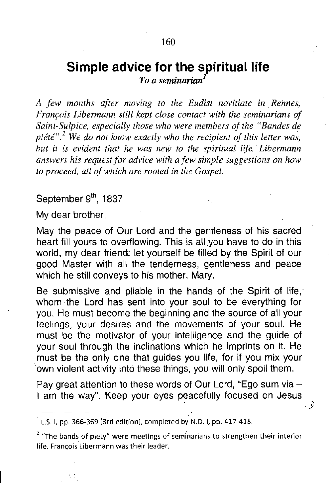### Simple advice for the spiritual life<br> *To a seminarian<sup>1</sup> To a* seminarian<sup>*l*</sup>

*A few months after moving to the Eudist nOVltlate in Rehnes, Franrois Libermann still kept close contact with the seminarians of Saint-Sulpice, especially those who were members of the "Bandes de piété*<sup>". 2</sup> *We do not know exactly who the recipient of this letter was. hut it is evident that he was new to the spiritual life. Lihermann answers his request for advice with a few simple suggestions on how to proceed, all ofwhich are rooted in the Gospel.*

September 9<sup>th</sup>, 1837

My dear brother,

May the peace of Our Lord and the gentleness of his sacred heart fill yours to overflowing. This is all you have to do in this world, my dear friend: let yourself be filled by the Spirit of our good Master with all the tenderness, gentleness and peace which he still conveys to his mother, Mary.

Be submissive and pliable in the hands of the Spirit of life, whom the Lord has sent into your soul to be everything for you. He must become the beginning and the source of all your feelings, your desires and the movements of your soul. He must be the motivator of your intelligence and the guide of your soul through the inclinations which he imprints on it. He must be the only one that guides you life, for if you mix your own violent activity into these things, you will only spoil them.

Pay great attention to these words of Our Lord, "Ego sum via -I am the way". Keep your eyes peacefully focused on Jesus

, *.y*

 $^{1}$  L.S. I, pp. 366-369 (3rd edition), completed by N.D. I, pp. 417-418.

<sup>7.</sup> **"The bands of piety" were meetings of seminarians to strengthen their interior life. Frant;ois 'Libermann was their leader.**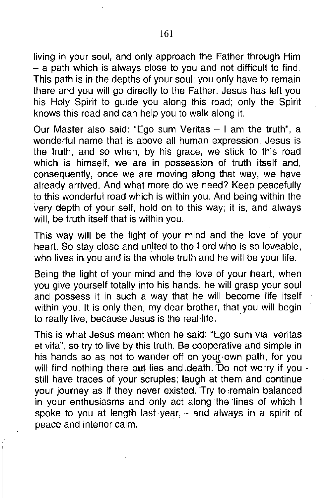living in your soul, and only approach the Father through Him - a path which is always close to you and not difficult to find. This path is in the depths of your soul; you only have to remain there and you will go directly to the Father. Jesus has left you his Holy Spirit to guide you along this road; only the Spirit knows this road and can help you to walk along it.

Our Master also said: "Ego sum Veritas  $-1$  am the truth", a wonderful name that is above all human expression. Jesus is the truth, and so when, by his grace, we stick to this road which is himself, we are in possession of truth itself and, consequently, once we are moving along that way, we have already arrived. And what more do we need? Keep peacefully to this wonderful road which is within you. And being within the very depth of your self, hold on to this way; it is, and always will, be truth itself that is within you.

This way will be the light of your mind and the love of your heart. So stay close and united to the Lord who is so loveable, who lives in you and is the whole truth and he will be your life.

Being the light of your mind and the love of your heart, when you give yourself totally into his hands, he will grasp your soul and possess it in such a way that he will become life itself within you. It is only then, my dear brother, that you will begin to really live, because Jesus is the real life.

This is what Jesus meant when he said: "Ego sum via, veritas et vita", so try to live by this truth. Be cooperative and simple in his hands so as not to wander off on your own path, for you will find nothing there but lies and death. Do not worry if you  $\cdot$ still have traces of your scruples; laugh at them and continue your journey as if they never existed. Try to ,remain balanced in your enthusiasms and only act along the lines of which I spoke to you at length last year, - and always in a spirit of peace and interior calm.